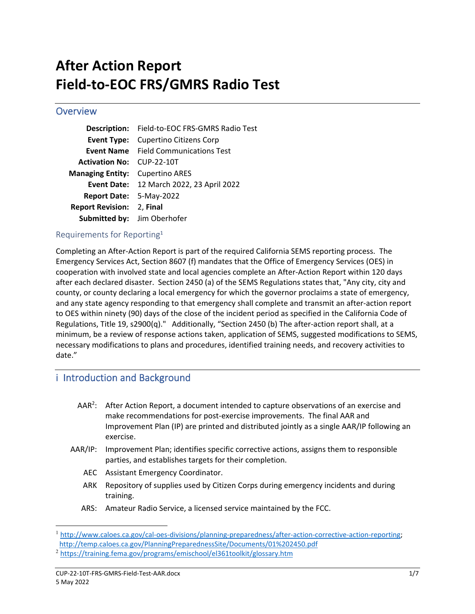# **After Action Report Field‐to‐EOC FRS/GMRS Radio Test**

## **Overview**

|                                  | Description: Field-to-EOC FRS-GMRS Radio Test |
|----------------------------------|-----------------------------------------------|
| Event Type:                      | <b>Cupertino Citizens Corp</b>                |
|                                  | <b>Event Name</b> Field Communications Test   |
| <b>Activation No: CUP-22-10T</b> |                                               |
| <b>Managing Entity:</b>          | <b>Cupertino ARES</b>                         |
|                                  | Event Date: 12 March 2022, 23 April 2022      |
| Report Date: 5-May-2022          |                                               |
| <b>Report Revision:</b>          | 2, Final                                      |
| Submitted by: Jim Oberhofer      |                                               |
|                                  |                                               |

### Requirements for Reporting<sup>1</sup>

Completing an After‐Action Report is part of the required California SEMS reporting process. The Emergency Services Act, Section 8607 (f) mandates that the Office of Emergency Services (OES) in cooperation with involved state and local agencies complete an After‐Action Report within 120 days after each declared disaster. Section 2450 (a) of the SEMS Regulations states that, "Any city, city and county, or county declaring a local emergency for which the governor proclaims a state of emergency, and any state agency responding to that emergency shall complete and transmit an after‐action report to OES within ninety (90) days of the close of the incident period as specified in the California Code of Regulations, Title 19, s2900(q)." Additionally, "Section 2450 (b) The after-action report shall, at a minimum, be a review of response actions taken, application of SEMS, suggested modifications to SEMS, necessary modifications to plans and procedures, identified training needs, and recovery activities to date."

# i Introduction and Background

- $AAR<sup>2</sup>$ : After Action Report, a document intended to capture observations of an exercise and make recommendations for post‐exercise improvements. The final AAR and Improvement Plan (IP) are printed and distributed jointly as a single AAR/IP following an exercise.
- AAR/IP: Improvement Plan; identifies specific corrective actions, assigns them to responsible parties, and establishes targets for their completion.
	- AEC Assistant Emergency Coordinator.
	- ARK Repository of supplies used by Citizen Corps during emergency incidents and during training.
	- ARS: Amateur Radio Service, a licensed service maintained by the FCC.

<sup>1</sup> http://www.caloes.ca.gov/cal-oes-divisions/planning-preparedness/after-action-corrective-action-reporting; http://temp.caloes.ca.gov/PlanningPreparednessSite/Documents/01%202450.pdf

<sup>2</sup> https://training.fema.gov/programs/emischool/el361toolkit/glossary.htm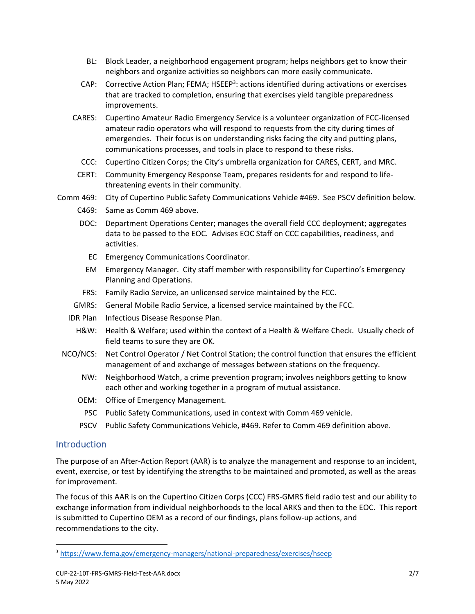- BL: Block Leader, a neighborhood engagement program; helps neighbors get to know their neighbors and organize activities so neighbors can more easily communicate.
- CAP: Corrective Action Plan; FEMA; HSEEP<sup>3</sup>: actions identified during activations or exercises that are tracked to completion, ensuring that exercises yield tangible preparedness improvements.
- CARES: Cupertino Amateur Radio Emergency Service is a volunteer organization of FCC‐licensed amateur radio operators who will respond to requests from the city during times of emergencies. Their focus is on understanding risks facing the city and putting plans, communications processes, and tools in place to respond to these risks.
	- CCC: Cupertino Citizen Corps; the City's umbrella organization for CARES, CERT, and MRC.
- CERT: Community Emergency Response Team, prepares residents for and respond to life‐ threatening events in their community.
- Comm 469: City of Cupertino Public Safety Communications Vehicle #469. See PSCV definition below.
	- C469: Same as Comm 469 above.
	- DOC: Department Operations Center; manages the overall field CCC deployment; aggregates data to be passed to the EOC. Advises EOC Staff on CCC capabilities, readiness, and activities.
		- EC Emergency Communications Coordinator.
		- EM Emergency Manager. City staff member with responsibility for Cupertino's Emergency Planning and Operations.
	- FRS: Family Radio Service, an unlicensed service maintained by the FCC.
	- GMRS: General Mobile Radio Service, a licensed service maintained by the FCC.
	- IDR Plan Infectious Disease Response Plan.
		- H&W: Health & Welfare; used within the context of a Health & Welfare Check. Usually check of field teams to sure they are OK.
	- NCO/NCS: Net Control Operator / Net Control Station; the control function that ensures the efficient management of and exchange of messages between stations on the frequency.
		- NW: Neighborhood Watch, a crime prevention program; involves neighbors getting to know each other and working together in a program of mutual assistance.
		- OEM: Office of Emergency Management.
		- PSC Public Safety Communications, used in context with Comm 469 vehicle.
		- PSCV Public Safety Communications Vehicle, #469. Refer to Comm 469 definition above.

## **Introduction**

The purpose of an After‐Action Report (AAR) is to analyze the management and response to an incident, event, exercise, or test by identifying the strengths to be maintained and promoted, as well as the areas for improvement.

The focus of this AAR is on the Cupertino Citizen Corps (CCC) FRS‐GMRS field radio test and our ability to exchange information from individual neighborhoods to the local ARKS and then to the EOC. This report is submitted to Cupertino OEM as a record of our findings, plans follow‐up actions, and recommendations to the city.

<sup>3</sup> https://www.fema.gov/emergency‐managers/national‐preparedness/exercises/hseep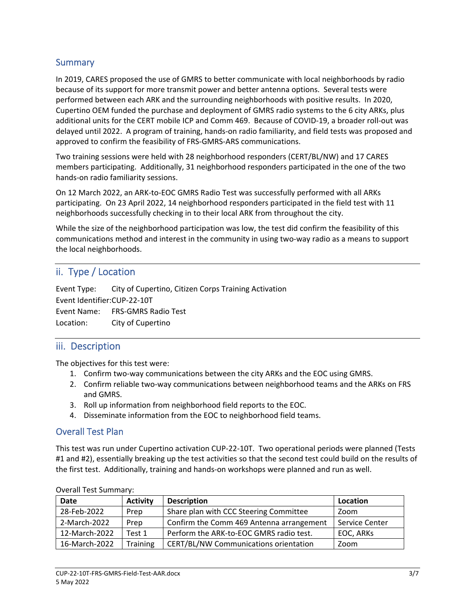## **Summary**

In 2019, CARES proposed the use of GMRS to better communicate with local neighborhoods by radio because of its support for more transmit power and better antenna options. Several tests were performed between each ARK and the surrounding neighborhoods with positive results. In 2020, Cupertino OEM funded the purchase and deployment of GMRS radio systems to the 6 city ARKs, plus additional units for the CERT mobile ICP and Comm 469. Because of COVID‐19, a broader roll‐out was delayed until 2022. A program of training, hands‐on radio familiarity, and field tests was proposed and approved to confirm the feasibility of FRS‐GMRS‐ARS communications.

Two training sessions were held with 28 neighborhood responders (CERT/BL/NW) and 17 CARES members participating. Additionally, 31 neighborhood responders participated in the one of the two hands‐on radio familiarity sessions.

On 12 March 2022, an ARK‐to‐EOC GMRS Radio Test was successfully performed with all ARKs participating. On 23 April 2022, 14 neighborhood responders participated in the field test with 11 neighborhoods successfully checking in to their local ARK from throughout the city.

While the size of the neighborhood participation was low, the test did confirm the feasibility of this communications method and interest in the community in using two‐way radio as a means to support the local neighborhoods.

# ii. Type / Location

Event Type: City of Cupertino, Citizen Corps Training Activation Event Identifier: CUP‐22‐10T Event Name: FRS‐GMRS Radio Test Location: City of Cupertino

# iii. Description

The objectives for this test were:

- 1. Confirm two‐way communications between the city ARKs and the EOC using GMRS.
- 2. Confirm reliable two‐way communications between neighborhood teams and the ARKs on FRS and GMRS.
- 3. Roll up information from neighborhood field reports to the EOC.
- 4. Disseminate information from the EOC to neighborhood field teams.

## Overall Test Plan

This test was run under Cupertino activation CUP‐22‐10T. Two operational periods were planned (Tests #1 and #2), essentially breaking up the test activities so that the second test could build on the results of the first test. Additionally, training and hands‐on workshops were planned and run as well.

| <b>Date</b>   | <b>Activity</b> | <b>Description</b>                       | Location       |
|---------------|-----------------|------------------------------------------|----------------|
| 28-Feb-2022   | Prep            | Share plan with CCC Steering Committee   | Zoom           |
| 2-March-2022  | Prep            | Confirm the Comm 469 Antenna arrangement | Service Center |
| 12-March-2022 | Test 1          | Perform the ARK-to-EOC GMRS radio test.  | EOC, ARKs      |
| 16-March-2022 | <b>Training</b> | CERT/BL/NW Communications orientation    | Zoom           |

#### Overall Test Summary: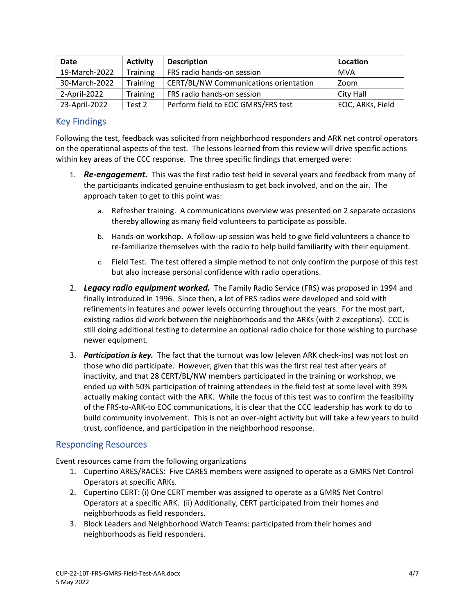| <b>Date</b>   | <b>Activity</b> | <b>Description</b>                    | Location         |
|---------------|-----------------|---------------------------------------|------------------|
| 19-March-2022 | <b>Training</b> | FRS radio hands-on session            | MVA              |
| 30-March-2022 | <b>Training</b> | CERT/BL/NW Communications orientation | Zoom             |
| 2-April-2022  | Training        | FRS radio hands-on session            | City Hall        |
| 23-April-2022 | Test 2          | Perform field to EOC GMRS/FRS test    | EOC, ARKs, Field |

# Key Findings

Following the test, feedback was solicited from neighborhood responders and ARK net control operators on the operational aspects of the test. The lessons learned from this review will drive specific actions within key areas of the CCC response. The three specific findings that emerged were:

- 1. **Re-engagement.** This was the first radio test held in several years and feedback from many of the participants indicated genuine enthusiasm to get back involved, and on the air. The approach taken to get to this point was:
	- a. Refresher training. A communications overview was presented on 2 separate occasions thereby allowing as many field volunteers to participate as possible.
	- b. Hands‐on workshop. A follow‐up session was held to give field volunteers a chance to re-familiarize themselves with the radio to help build familiarity with their equipment.
	- c. Field Test. The test offered a simple method to not only confirm the purpose of this test but also increase personal confidence with radio operations.
- 2. *Legacy radio equipment worked.* The Family Radio Service (FRS) was proposed in 1994 and finally introduced in 1996. Since then, a lot of FRS radios were developed and sold with refinements in features and power levels occurring throughout the years. For the most part, existing radios did work between the neighborhoods and the ARKs (with 2 exceptions). CCC is still doing additional testing to determine an optional radio choice for those wishing to purchase newer equipment.
- 3. *Participation is key.* The fact that the turnout was low (eleven ARK check‐ins) was not lost on those who did participate. However, given that this was the first real test after years of inactivity, and that 28 CERT/BL/NW members participated in the training or workshop, we ended up with 50% participation of training attendees in the field test at some level with 39% actually making contact with the ARK. While the focus of this test was to confirm the feasibility of the FRS‐to‐ARK‐to EOC communications, it is clear that the CCC leadership has work to do to build community involvement. This is not an over‐night activity but will take a few years to build trust, confidence, and participation in the neighborhood response.

# Responding Resources

Event resources came from the following organizations

- 1. Cupertino ARES/RACES: Five CARES members were assigned to operate as a GMRS Net Control Operators at specific ARKs.
- 2. Cupertino CERT: (i) One CERT member was assigned to operate as a GMRS Net Control Operators at a specific ARK. (ii) Additionally, CERT participated from their homes and neighborhoods as field responders.
- 3. Block Leaders and Neighborhood Watch Teams: participated from their homes and neighborhoods as field responders.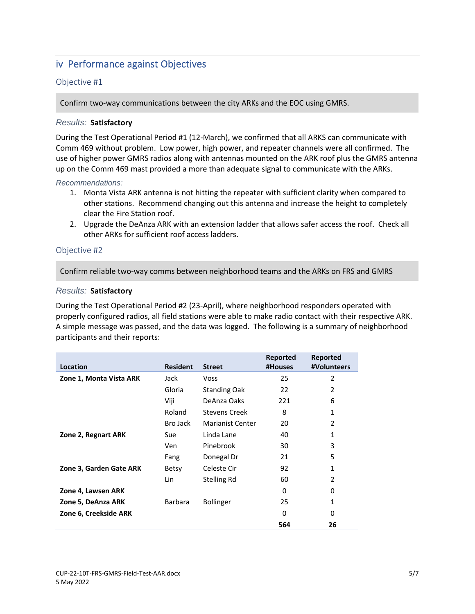# iv Performance against Objectives

#### Objective #1

Confirm two‐way communications between the city ARKs and the EOC using GMRS.

#### *Results:* **Satisfactory**

During the Test Operational Period #1 (12‐March), we confirmed that all ARKS can communicate with Comm 469 without problem. Low power, high power, and repeater channels were all confirmed. The use of higher power GMRS radios along with antennas mounted on the ARK roof plus the GMRS antenna up on the Comm 469 mast provided a more than adequate signal to communicate with the ARKs.

#### *Recommendations:*

- 1. Monta Vista ARK antenna is not hitting the repeater with sufficient clarity when compared to other stations. Recommend changing out this antenna and increase the height to completely clear the Fire Station roof.
- 2. Upgrade the DeAnza ARK with an extension ladder that allows safer access the roof. Check all other ARKs for sufficient roof access ladders.

#### Objective #2

Confirm reliable two‐way comms between neighborhood teams and the ARKs on FRS and GMRS

#### *Results:* **Satisfactory**

During the Test Operational Period #2 (23‐April), where neighborhood responders operated with properly configured radios, all field stations were able to make radio contact with their respective ARK. A simple message was passed, and the data was logged. The following is a summary of neighborhood participants and their reports:

| Location                | <b>Resident</b> | <b>Street</b>           | Reported<br>#Houses | Reported<br>#Volunteers |
|-------------------------|-----------------|-------------------------|---------------------|-------------------------|
| Zone 1, Monta Vista ARK | Jack            | <b>Voss</b>             | 25                  | $\overline{2}$          |
|                         | Gloria          | <b>Standing Oak</b>     | 22                  | 2                       |
|                         | Viji            | DeAnza Oaks             | 221                 | 6                       |
|                         | Roland          | <b>Stevens Creek</b>    | 8                   | 1                       |
|                         | Bro Jack        | <b>Marianist Center</b> | 20                  | 2                       |
| Zone 2, Regnart ARK     | Sue             | Linda Lane              | 40                  | 1                       |
|                         | Ven             | Pinebrook               | 30                  | 3                       |
|                         | Fang            | Donegal Dr              | 21                  | 5                       |
| Zone 3, Garden Gate ARK | <b>Betsy</b>    | Celeste Cir             | 92                  | 1                       |
|                         | Lin             | Stelling Rd             | 60                  | $\mathcal{P}$           |
| Zone 4, Lawsen ARK      |                 |                         | 0                   | 0                       |
| Zone 5, DeAnza ARK      | <b>Barbara</b>  | <b>Bollinger</b>        | 25                  | 1                       |
| Zone 6, Creekside ARK   |                 |                         | 0                   | 0                       |
|                         |                 |                         | 564                 | 26                      |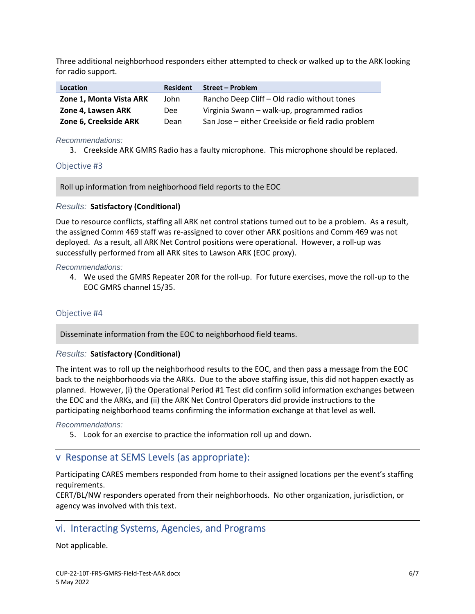Three additional neighborhood responders either attempted to check or walked up to the ARK looking for radio support.

| <b>Location</b>         | <b>Resident</b> | <b>Street - Problem</b>                            |
|-------------------------|-----------------|----------------------------------------------------|
| Zone 1, Monta Vista ARK | John            | Rancho Deep Cliff - Old radio without tones        |
| Zone 4, Lawsen ARK      | Dee             | Virginia Swann - walk-up, programmed radios        |
| Zone 6, Creekside ARK   | Dean            | San Jose - either Creekside or field radio problem |

*Recommendations:* 

3. Creekside ARK GMRS Radio has a faulty microphone. This microphone should be replaced.

#### Objective #3

Roll up information from neighborhood field reports to the EOC

#### *Results:* **Satisfactory (Conditional)**

Due to resource conflicts, staffing all ARK net control stations turned out to be a problem. As a result, the assigned Comm 469 staff was re‐assigned to cover other ARK positions and Comm 469 was not deployed. As a result, all ARK Net Control positions were operational. However, a roll‐up was successfully performed from all ARK sites to Lawson ARK (EOC proxy).

#### *Recommendations:*

4. We used the GMRS Repeater 20R for the roll‐up. For future exercises, move the roll‐up to the EOC GMRS channel 15/35.

#### Objective #4

Disseminate information from the EOC to neighborhood field teams.

#### *Results:* **Satisfactory (Conditional)**

The intent was to roll up the neighborhood results to the EOC, and then pass a message from the EOC back to the neighborhoods via the ARKs. Due to the above staffing issue, this did not happen exactly as planned. However, (i) the Operational Period #1 Test did confirm solid information exchanges between the EOC and the ARKs, and (ii) the ARK Net Control Operators did provide instructions to the participating neighborhood teams confirming the information exchange at that level as well.

#### *Recommendations:*

5. Look for an exercise to practice the information roll up and down.

## v Response at SEMS Levels (as appropriate):

Participating CARES members responded from home to their assigned locations per the event's staffing requirements.

CERT/BL/NW responders operated from their neighborhoods. No other organization, jurisdiction, or agency was involved with this text.

# vi. Interacting Systems, Agencies, and Programs

Not applicable.